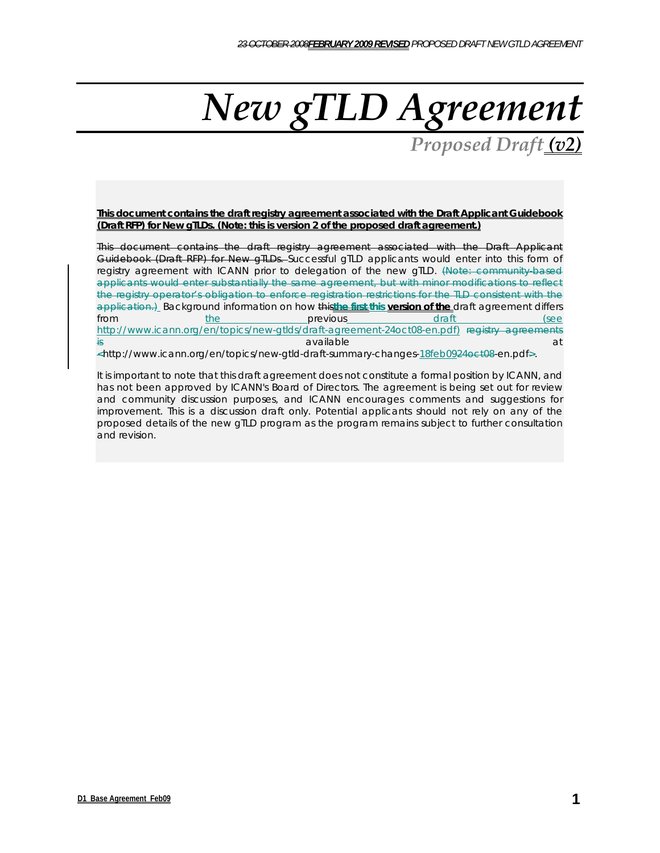# *New gTLD Agreement*

*Proposed Draft (v2)*

**This document contains the draft registry agreement associated with the Draft Applicant Guidebook (Draft RFP) for New gTLDs. (Note: this is version 2 of the proposed draft agreement.)**

This document contains the draft registry agreement associated with the Draft Applicant Guidebook (Draft RFP) for New gTLDs. Successful gTLD applicants would enter into this form of registry agreement with ICANN prior to delegation of the new gTLD. (Note: community-based applicants would enter substantially the same agreement, but with minor modifications to reflect the registry operator's obligation to enforce registration restrictions for the TLD consistent with the application.) Background information on how this the first this version of the draft agreement differs from the previous contract the previous draft (see http://www.icann.org/en/topics/new-gtlds/draft-agreement-24oct08-en.pdf) registry agreements is a contract of the contract of  $\mathsf{a}\mathsf{v}$  and  $\mathsf{a}\mathsf{v}$  and  $\mathsf{a}\mathsf{v}$  and  $\mathsf{a}\mathsf{v}$ 

<http://www.icann.org/en/topics/new-gtld-draft-summary-changes-18feb0924oct08-en.pdf>.

It is important to note that this draft agreement does not constitute a formal position by ICANN, and has not been approved by ICANN's Board of Directors. The agreement is being set out for review and community discussion purposes, and ICANN encourages comments and suggestions for improvement. This is a discussion draft only. Potential applicants should not rely on any of the proposed details of the new gTLD program as the program remains subject to further consultation and revision.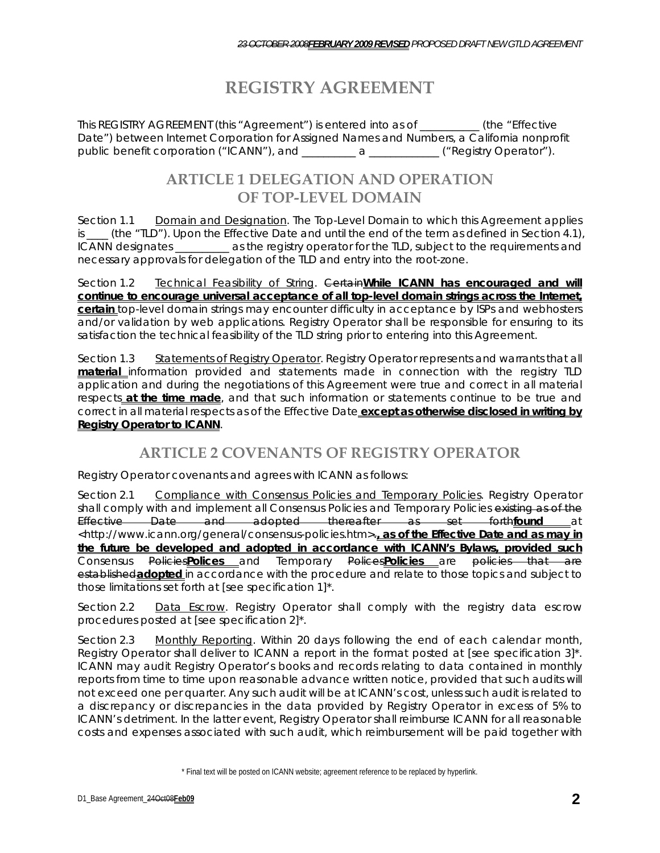# **REGISTRY AGREEMENT**

This REGISTRY AGREEMENT (this "Agreement") is entered into as of \_\_\_\_\_\_\_\_\_\_\_ (the "Effective Date") between Internet Corporation for Assigned Names and Numbers, a California nonprofit public benefit corporation ("ICANN"), and \_\_\_\_\_\_\_\_\_ a \_\_\_\_\_\_\_\_\_\_\_\_\_ ("Registry Operator").

#### **ARTICLE 1 DELEGATION AND OPERATION OF TOP-LEVEL DOMAIN**

Section 1.1 Domain and Designation. The Top-Level Domain to which this Agreement applies is \_\_\_\_ (the "TLD"). Upon the Effective Date and until the end of the term as defined in Section 4.1), ICANN designates \_\_\_\_\_\_\_\_\_\_ as the registry operator for the TLD, subject to the requirements and necessary approvals for delegation of the TLD and entry into the root-zone.

Section 1.2 Technical Feasibility of String. Certain**While ICANN has encouraged and will continue to encourage universal acceptance of all top-level domain strings across the Internet, certain** top-level domain strings may encounter difficulty in acceptance by ISPs and webhosters and/or validation by web applications. Registry Operator shall be responsible for ensuring to its satisfaction the technical feasibility of the TLD string prior to entering into this Agreement.

Section 1.3 Statements of Registry Operator. Registry Operator represents and warrants that all **material** information provided and statements made in connection with the registry TLD application and during the negotiations of this Agreement were true and correct in all material respects **at the time made**, and that such information or statements continue to be true and correct in all material respects as of the Effective Date **except as otherwise disclosed in writing by Registry Operator to ICANN**.

#### **ARTICLE 2 COVENANTS OF REGISTRY OPERATOR**

Registry Operator covenants and agrees with ICANN as follows:

Section 2.1 Compliance with Consensus Policies and Temporary Policies. Registry Operator shall comply with and implement all Consensus Policies and Temporary Policies existing as of the Effective Date and adopted thereafter as set forth**found** at <http://www.icann.org/general/consensus-policies.htm>.**, as of the Effective Date and as may in the future be developed and adopted in accordance with ICANN's Bylaws, provided such** Consensus Policies**Polices** and Temporary Polices**Policies** are policies that are established**adopted** in accordance with the procedure and relate to those topics and subject to those limitations set forth at [see specification 1]\*.

Section 2.2 Data Escrow. Registry Operator shall comply with the registry data escrow procedures posted at [see specification 2]\*.

Section 2.3 Monthly Reporting. Within 20 days following the end of each calendar month, Registry Operator shall deliver to ICANN a report in the format posted at [see specification 3]\*. ICANN may audit Registry Operator's books and records relating to data contained in monthly reports from time to time upon reasonable advance written notice, provided that such audits will not exceed one per quarter. Any such audit will be at ICANN's cost, unless such audit is related to a discrepancy or discrepancies in the data provided by Registry Operator in excess of 5% to ICANN's detriment. In the latter event, Registry Operator shall reimburse ICANN for all reasonable costs and expenses associated with such audit, which reimbursement will be paid together with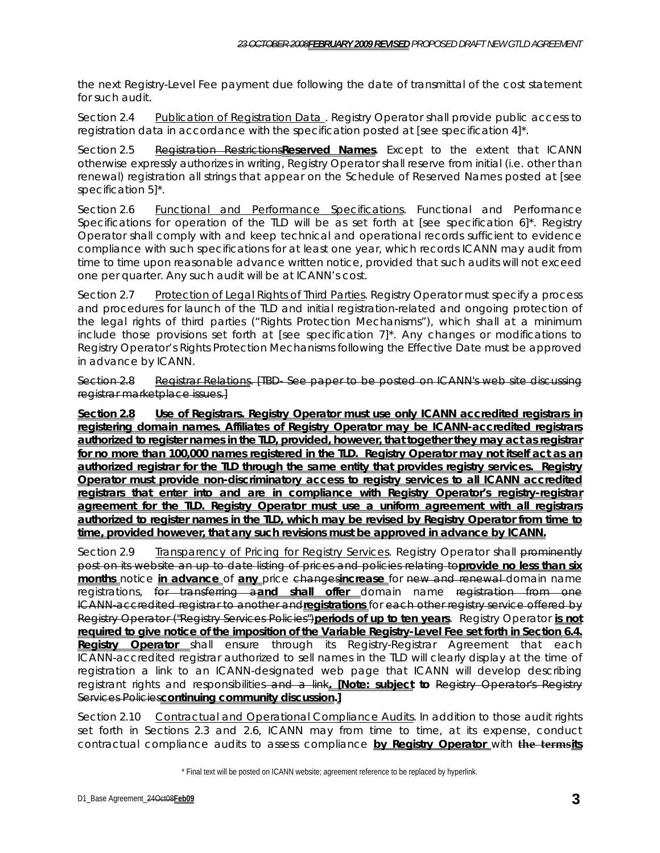the next Registry-Level Fee payment due following the date of transmittal of the cost statement for such audit.

Section 2.4 Publication of Registration Data . Registry Operator shall provide public access to registration data in accordance with the specification posted at [see specification 4]\*.

Section 2.5 Registration Restrictions**Reserved Names**. Except to the extent that ICANN otherwise expressly authorizes in writing, Registry Operator shall reserve from initial (i.e. other than renewal) registration all strings that appear on the Schedule of Reserved Names posted at [see specification 5]\*.

Section 2.6 Functional and Performance Specifications. Functional and Performance Specifications for operation of the TLD will be as set forth at [see specification  $6$ ]<sup>\*</sup>. Registry Operator shall comply with and keep technical and operational records sufficient to evidence compliance with such specifications for at least one year, which records ICANN may audit from time to time upon reasonable advance written notice, provided that such audits will not exceed one per quarter. Any such audit will be at ICANN's cost.

Section 2.7 Protection of Legal Rights of Third Parties. Registry Operator must specify a process and procedures for launch of the TLD and initial registration-related and ongoing protection of the legal rights of third parties ("Rights Protection Mechanisms"), which shall at a minimum include those provisions set forth at [see specification 7]\*. Any changes or modifications to Registry Operator's Rights Protection Mechanisms following the Effective Date must be approved in advance by ICANN.

Section 2.8 Registrar Relations. [TBD- See paper to be posted on ICANN's web site discussing registrar marketplace issues.]

**Section 2.8 Use of Registrars. Registry Operator must use only ICANN accredited registrars in registering domain names. Affiliates of Registry Operator may be ICANN-accredited registrars authorized to register names in the TLD, provided, however, that together they may act as registrar for no more than 100,000 names registered in the TLD. Registry Operator may not itself act as an authorized registrar for the TLD through the same entity that provides registry services. Registry Operator must provide non-discriminatory access to registry services to all ICANN accredited registrars that enter into and are in compliance with Registry Operator's registry-registrar agreement for the TLD. Registry Operator must use a uniform agreement with all registrars authorized to register names in the TLD, which may be revised by Registry Operator from time to time, provided however, that any such revisions must be approved in advance by ICANN.** 

Section 2.9 Transparency of Pricing for Registry Services. Registry Operator shall prominently post on its website an up to date listing of prices and policies relating to**provide no less than six months** notice **in advance** of **any** price changes**increase** for new and renewal domain name registrations, for transferring a**and shall offer** domain name registration from one ICANN-accredited registrar to another and**registrations** for each other registry service offered by Registry Operator ("Registry Services Policies")**periods of up to ten years**. Registry Operator **is not required to give notice of the imposition of the Variable Registry-Level Fee set forth in Section 6.4. Registry Operator** shall ensure through its Registry-Registrar Agreement that each ICANN-accredited registrar authorized to sell names in the TLD will clearly display at the time of registration a link to an ICANN-designated web page that ICANN will develop describing registrant rights and responsibilities and a link**. [Note: subject to** Registry Operator's Registry Services Policies**continuing community discussion.]**

Section 2.10 Contractual and Operational Compliance Audits. In addition to those audit rights set forth in Sections 2.3 and 2.6, ICANN may from time to time, at its expense, conduct contractual compliance audits to assess compliance **by Registry Operator** with **the termsits**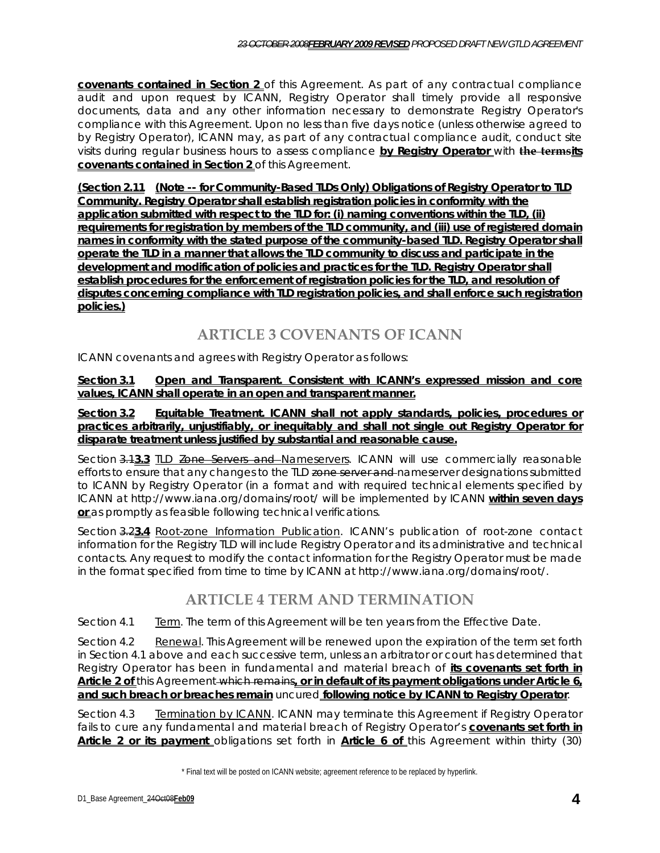**covenants contained in Section 2** of this Agreement. As part of any contractual compliance audit and upon request by ICANN, Registry Operator shall timely provide all responsive documents, data and any other information necessary to demonstrate Registry Operator's compliance with this Agreement. Upon no less than five days notice (unless otherwise agreed to by Registry Operator), ICANN may, as part of any contractual compliance audit, conduct site visits during regular business hours to assess compliance **by Registry Operator** with **the termsits covenants contained in Section 2** of this Agreement.

**(Section 2.11 (Note -- for Community-Based TLDs Only) Obligations of Registry Operator to TLD Community. Registry Operator shall establish registration policies in conformity with the application submitted with respect to the TLD for: (i) naming conventions within the TLD, (ii) requirements for registration by members of the TLD community, and (iii) use of registered domain names in conformity with the stated purpose of the community-based TLD. Registry Operator shall operate the TLD in a manner that allows the TLD community to discuss and participate in the development and modification of policies and practices for the TLD. Registry Operator shall establish procedures for the enforcement of registration policies for the TLD, and resolution of disputes concerning compliance with TLD registration policies, and shall enforce such registration policies.)**

# **ARTICLE 3 COVENANTS OF ICANN**

ICANN covenants and agrees with Registry Operator as follows:

**Section 3.1 Open and Transparent. Consistent with ICANN's expressed mission and core values, ICANN shall operate in an open and transparent manner.**

**Section 3.2 Equitable Treatment. ICANN shall not apply standards, policies, procedures or practices arbitrarily, unjustifiably, or inequitably and shall not single out Registry Operator for disparate treatment unless justified by substantial and reasonable cause.**

Section 3.1**3.3** TLD Zone Servers and Nameservers. ICANN will use commercially reasonable efforts to ensure that any changes to the TLD zone server and nameserver designations submitted to ICANN by Registry Operator (in a format and with required technical elements specified by ICANN at http://www.iana.org/domains/root/ will be implemented by ICANN **within seven days or** as promptly as feasible following technical verifications.

Section 3.2**3.4** Root-zone Information Publication. ICANN's publication of root-zone contact information for the Registry TLD will include Registry Operator and its administrative and technical contacts. Any request to modify the contact information for the Registry Operator must be made in the format specified from time to time by ICANN at http://www.iana.org/domains/root/.

#### **ARTICLE 4 TERM AND TERMINATION**

Section 4.1 Term. The term of this Agreement will be ten years from the Effective Date.

Section 4.2 Renewal. This Agreement will be renewed upon the expiration of the term set forth in Section 4.1 above and each successive term, unless an arbitrator or court has determined that Registry Operator has been in fundamental and material breach of **its covenants set forth in Article 2 of** this Agreement which remains**, or in default of its payment obligations under Article 6, and such breach or breaches remain** uncured **following notice by ICANN to Registry Operator**.

Section 4.3 **Termination by ICANN**. ICANN may terminate this Agreement if Registry Operator fails to cure any fundamental and material breach of Registry Operator's **covenants set forth in**  Article 2 or its payment obligations set forth in **Article 6 of** this Agreement within thirty (30)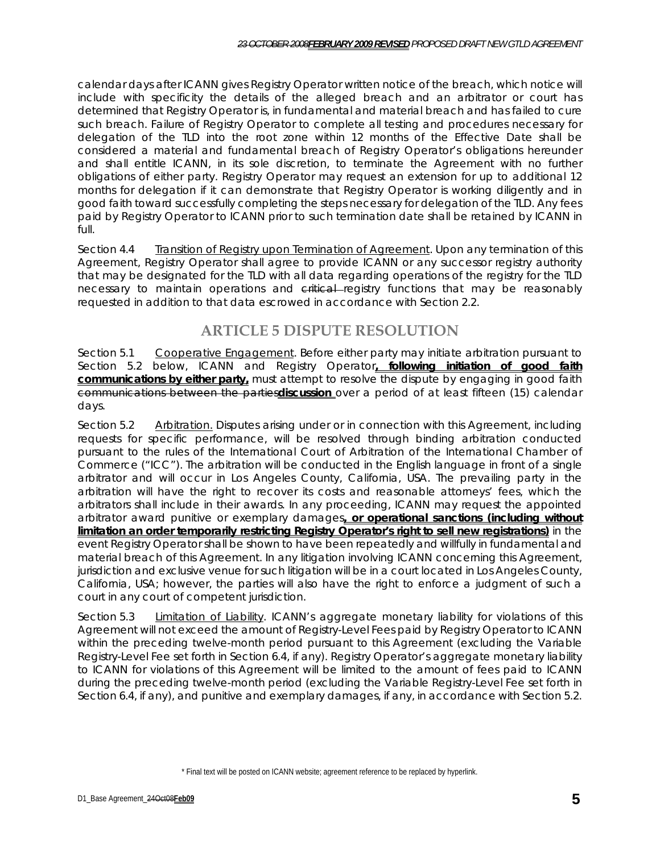calendar days after ICANN gives Registry Operator written notice of the breach, which notice will include with specificity the details of the alleged breach and an arbitrator or court has determined that Registry Operator is, in fundamental and material breach and has failed to cure such breach. Failure of Registry Operator to complete all testing and procedures necessary for delegation of the TLD into the root zone within 12 months of the Effective Date shall be considered a material and fundamental breach of Registry Operator's obligations hereunder and shall entitle ICANN, in its sole discretion, to terminate the Agreement with no further obligations of either party. Registry Operator may request an extension for up to additional 12 months for delegation if it can demonstrate that Registry Operator is working diligently and in good faith toward successfully completing the steps necessary for delegation of the TLD. Any fees paid by Registry Operator to ICANN prior to such termination date shall be retained by ICANN in full.

Section 4.4 Transition of Registry upon Termination of Agreement. Upon any termination of this Agreement, Registry Operator shall agree to provide ICANN or any successor registry authority that may be designated for the TLD with all data regarding operations of the registry for the TLD necessary to maintain operations and critical registry functions that may be reasonably requested in addition to that data escrowed in accordance with Section 2.2.

# **ARTICLE 5 DISPUTE RESOLUTION**

Section 5.1 Cooperative Engagement. Before either party may initiate arbitration pursuant to Section 5.2 below, ICANN and Registry Operator**, following initiation of good faith communications by either party,** must attempt to resolve the dispute by engaging in good faith communications between the parties**discussion** over a period of at least fifteen (15) calendar days.

Section 5.2 Arbitration. Disputes arising under or in connection with this Agreement, including requests for specific performance, will be resolved through binding arbitration conducted pursuant to the rules of the International Court of Arbitration of the International Chamber of Commerce ("ICC"). The arbitration will be conducted in the English language in front of a single arbitrator and will occur in Los Angeles County, California, USA. The prevailing party in the arbitration will have the right to recover its costs and reasonable attorneys' fees, which the arbitrators shall include in their awards. In any proceeding, ICANN may request the appointed arbitrator award punitive or exemplary damages**, or operational sanctions (including without limitation an order temporarily restricting Registry Operator's right to sell new registrations)** in the event Registry Operator shall be shown to have been repeatedly and willfully in fundamental and material breach of this Agreement. In any litigation involving ICANN concerning this Agreement, jurisdiction and exclusive venue for such litigation will be in a court located in Los Angeles County, California, USA; however, the parties will also have the right to enforce a judgment of such a court in any court of competent jurisdiction.

Section 5.3 Limitation of Liability. ICANN's aggregate monetary liability for violations of this Agreement will not exceed the amount of Registry-Level Fees paid by Registry Operator to ICANN within the preceding twelve-month period pursuant to this Agreement (excluding the Variable Registry-Level Fee set forth in Section 6.4, if any). Registry Operator's aggregate monetary liability to ICANN for violations of this Agreement will be limited to the amount of fees paid to ICANN during the preceding twelve-month period (excluding the Variable Registry-Level Fee set forth in Section 6.4, if any), and punitive and exemplary damages, if any, in accordance with Section 5.2.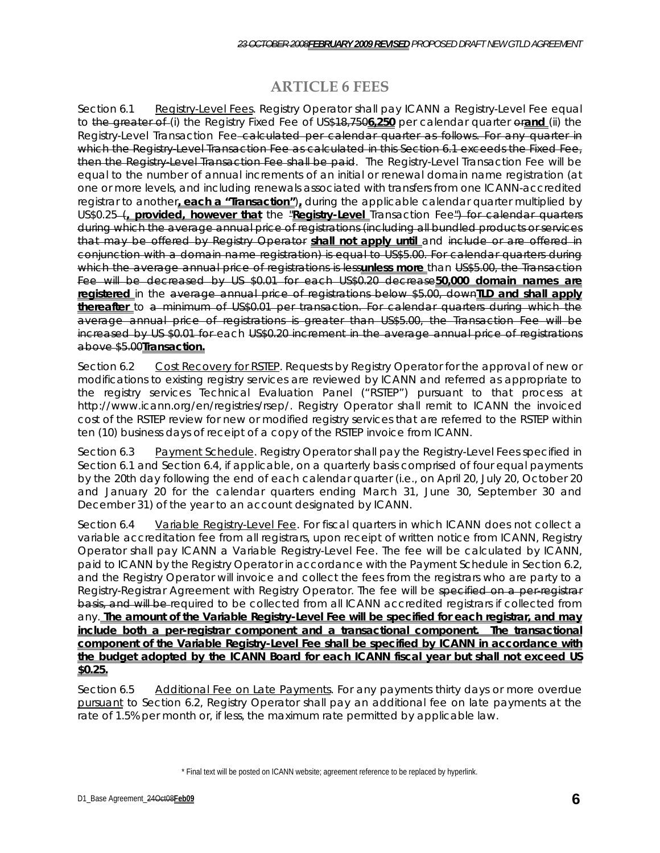#### **ARTICLE 6 FEES**

Section 6.1 Registry-Level Fees. Registry Operator shall pay ICANN a Registry-Level Fee equal to the greater of (i) the Registry Fixed Fee of US\$18,750**6,250** per calendar quarter or**and** (ii) the Registry-Level Transaction Fee-calculated per calendar quarter as follows. For any quarter in which the Registry-Level Transaction Fee as calculated in this Section 6.1 exceeds the Fixed Fee, then the Registry-Level Transaction Fee shall be paid. The Registry-Level Transaction Fee will be equal to the number of annual increments of an initial or renewal domain name registration (at one or more levels, and including renewals associated with transfers from one ICANN-accredited registrar to another**, each a "Transaction"**)**,** during the applicable calendar quarter multiplied by US\$0.25 (**, provided, however that** the "**Registry-Level** Transaction Fee") for calendar quarters during which the average annual price of registrations (including all bundled products or services that may be offered by Registry Operator **shall not apply until** and include or are offered in conjunction with a domain name registration) is equal to US\$5.00. For calendar quarters during which the average annual price of registrations is less**unless more** than US\$5.00, the Transaction Fee will be decreased by US \$0.01 for each US\$0.20 decrease**50,000 domain names are registered** in the average annual price of registrations below \$5.00, down**TLD and shall apply thereafter** to a minimum of US\$0.01 per transaction. For calendar quarters during which the average annual price of registrations is greater than US\$5.00, the Transaction Fee will be increased by US \$0.01 for each US\$0.20 increment in the average annual price of registrations above \$5.00**Transaction.** 

Section 6.2 Cost Recovery for RSTEP. Requests by Registry Operator for the approval of new or modifications to existing registry services are reviewed by ICANN and referred as appropriate to the registry services Technical Evaluation Panel ("RSTEP") pursuant to that process at http://www.icann.org/en/registries/rsep/. Registry Operator shall remit to ICANN the invoiced cost of the RSTEP review for new or modified registry services that are referred to the RSTEP within ten (10) business days of receipt of a copy of the RSTEP invoice from ICANN.

Section 6.3 Payment Schedule. Registry Operator shall pay the Registry-Level Fees specified in Section 6.1 and Section 6.4, if applicable, on a quarterly basis comprised of four equal payments by the 20th day following the end of each calendar quarter (i.e., on April 20, July 20, October 20 and January 20 for the calendar quarters ending March 31, June 30, September 30 and December 31) of the year to an account designated by ICANN.

Section 6.4 Variable Registry-Level Fee. For fiscal quarters in which ICANN does not collect a variable accreditation fee from all registrars, upon receipt of written notice from ICANN, Registry Operator shall pay ICANN a Variable Registry-Level Fee. The fee will be calculated by ICANN, paid to ICANN by the Registry Operator in accordance with the Payment Schedule in Section 6.2, and the Registry Operator will invoice and collect the fees from the registrars who are party to a Registry-Registrar Agreement with Registry Operator. The fee will be specified on a per-registrar basis, and will be required to be collected from all ICANN accredited registrars if collected from any. **The amount of the Variable Registry-Level Fee will be specified for each registrar, and may include both a per-registrar component and a transactional component. The transactional component of the Variable Registry-Level Fee shall be specified by ICANN in accordance with the budget adopted by the ICANN Board for each ICANN fiscal year but shall not exceed US \$0.25.**

Section 6.5 Additional Fee on Late Payments. For any payments thirty days or more overdue pursuant to Section 6.2, Registry Operator shall pay an additional fee on late payments at the rate of 1.5% per month or, if less, the maximum rate permitted by applicable law.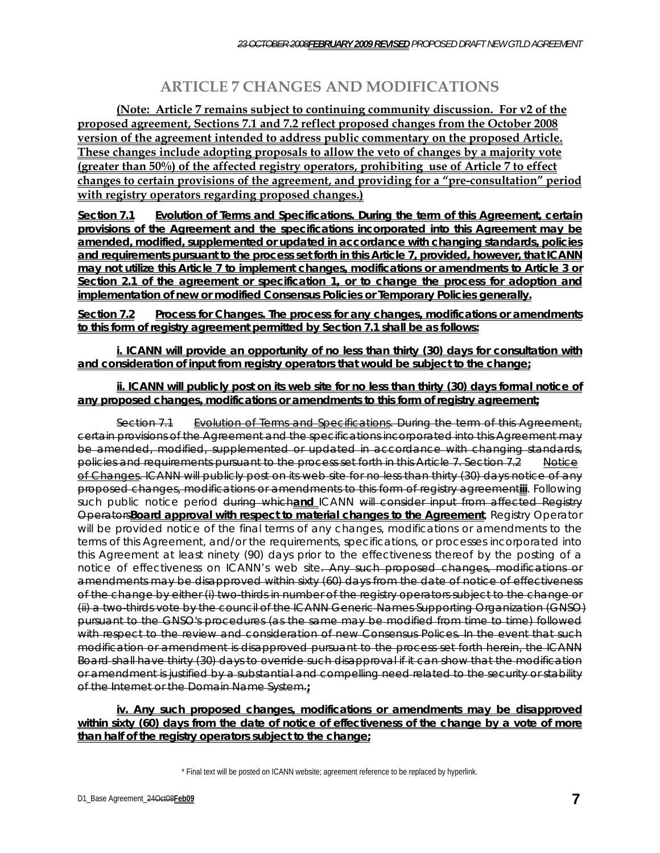# **ARTICLE 7 CHANGES AND MODIFICATIONS**

**(Note: Article 7 remains subject to continuing community discussion. For v2 of the proposed agreement, Sections 7.1 and 7.2 reflect proposed changes from the October 2008 version of the agreement intended to address public commentary on the proposed Article. These changes include adopting proposals to allow the veto of changes by a majority vote (greater than 50%) of the affected registry operators, prohibiting use of Article 7 to effect changes to certain provisions of the agreement, and providing for a "pre-consultation" period with registry operators regarding proposed changes.)** 

**Section 7.1 Evolution of Terms and Specifications. During the term of this Agreement, certain provisions of the Agreement and the specifications incorporated into this Agreement may be amended, modified, supplemented or updated in accordance with changing standards, policies and requirements pursuant to the process set forth in this Article 7, provided, however, that ICANN may not utilize this Article 7 to implement changes, modifications or amendments to Article 3 or Section 2.1 of the agreement or specification 1, or to change the process for adoption and implementation of new or modified Consensus Policies or Temporary Policies generally.** 

**Section 7.2 Process for Changes. The process for any changes, modifications or amendments to this form of registry agreement permitted by Section 7.1 shall be as follows:** 

**i. ICANN will provide an opportunity of no less than thirty (30) days for consultation with and consideration of input from registry operators that would be subject to the change;**

**ii. ICANN will publicly post on its web site for no less than thirty (30) days formal notice of any proposed changes, modifications or amendments to this form of registry agreement;** 

Section 7.1 Evolution of Terms and Specifications. During the term of this Agreement, certain provisions of the Agreement and the specifications incorporated into this Agreement may be amended, modified, supplemented or updated in accordance with changing standards, policies and requirements pursuant to the process set forth in this Article 7. Section 7.2 Notice of Changes. ICANN will publicly post on its web site for no less than thirty (30) days notice of any proposed changes, modifications or amendments to this form of registry agreement**iii**. Following such public notice period during which**and** ICANN will consider input from affected Registry Operators**Board approval with respect to material changes to the Agreement**, Registry Operator will be provided notice of the final terms of any changes, modifications or amendments to the terms of this Agreement, and/or the requirements, specifications, or processes incorporated into this Agreement at least ninety (90) days prior to the effectiveness thereof by the posting of a notice of effectiveness on ICANN's web site. Any such proposed changes, modifications or amendments may be disapproved within sixty (60) days from the date of notice of effectiveness of the change by either (i) two-thirds in number of the registry operators subject to the change or (ii) a two-thirds vote by the council of the ICANN Generic Names Supporting Organization (GNSO) pursuant to the GNSO's procedures (as the same may be modified from time to time) followed with respect to the review and consideration of new Consensus Polices. In the event that such modification or amendment is disapproved pursuant to the process set forth herein, the ICANN Board shall have thirty (30) days to override such disapproval if it can show that the modification or amendment is justified by a substantial and compelling need related to the security or stability of the Internet or the Domain Name System.**;**

**iv. Any such proposed changes, modifications or amendments may be disapproved within sixty (60) days from the date of notice of effectiveness of the change by a vote of more than half of the registry operators subject to the change;**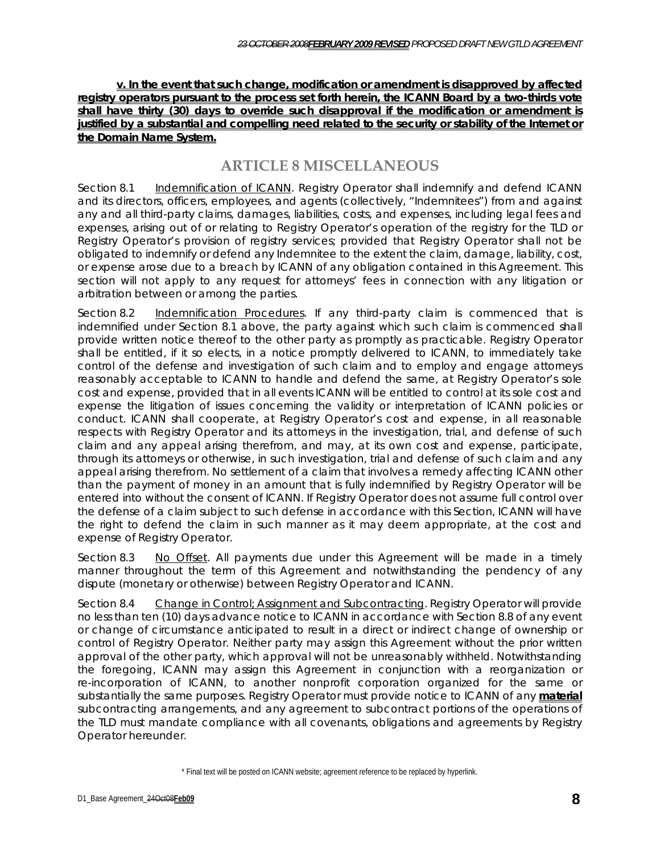**v. In the event that such change, modification or amendment is disapproved by affected registry operators pursuant to the process set forth herein, the ICANN Board by a two-thirds vote shall have thirty (30) days to override such disapproval if the modification or amendment is justified by a substantial and compelling need related to the security or stability of the Internet or the Domain Name System.**

#### **ARTICLE 8 MISCELLANEOUS**

Section 8.1 Indemnification of ICANN. Registry Operator shall indemnify and defend ICANN and its directors, officers, employees, and agents (collectively, "Indemnitees") from and against any and all third-party claims, damages, liabilities, costs, and expenses, including legal fees and expenses, arising out of or relating to Registry Operator's operation of the registry for the TLD or Registry Operator's provision of registry services; provided that Registry Operator shall not be obligated to indemnify or defend any Indemnitee to the extent the claim, damage, liability, cost, or expense arose due to a breach by ICANN of any obligation contained in this Agreement. This section will not apply to any request for attorneys' fees in connection with any litigation or arbitration between or among the parties.

Section 8.2 Indemnification Procedures. If any third-party claim is commenced that is indemnified under Section 8.1 above, the party against which such claim is commenced shall provide written notice thereof to the other party as promptly as practicable. Registry Operator shall be entitled, if it so elects, in a notice promptly delivered to ICANN, to immediately take control of the defense and investigation of such claim and to employ and engage attorneys reasonably acceptable to ICANN to handle and defend the same, at Registry Operator's sole cost and expense, provided that in all events ICANN will be entitled to control at its sole cost and expense the litigation of issues concerning the validity or interpretation of ICANN policies or conduct. ICANN shall cooperate, at Registry Operator's cost and expense, in all reasonable respects with Registry Operator and its attorneys in the investigation, trial, and defense of such claim and any appeal arising therefrom, and may, at its own cost and expense, participate, through its attorneys or otherwise, in such investigation, trial and defense of such claim and any appeal arising therefrom. No settlement of a claim that involves a remedy affecting ICANN other than the payment of money in an amount that is fully indemnified by Registry Operator will be entered into without the consent of ICANN. If Registry Operator does not assume full control over the defense of a claim subject to such defense in accordance with this Section, ICANN will have the right to defend the claim in such manner as it may deem appropriate, at the cost and expense of Registry Operator.

Section 8.3 No Offset. All payments due under this Agreement will be made in a timely manner throughout the term of this Agreement and notwithstanding the pendency of any dispute (monetary or otherwise) between Registry Operator and ICANN.

Section 8.4 Change in Control; Assignment and Subcontracting. Registry Operator will provide no less than ten (10) days advance notice to ICANN in accordance with Section 8.8 of any event or change of circumstance anticipated to result in a direct or indirect change of ownership or control of Registry Operator. Neither party may assign this Agreement without the prior written approval of the other party, which approval will not be unreasonably withheld. Notwithstanding the foregoing, ICANN may assign this Agreement in conjunction with a reorganization or re-incorporation of ICANN, to another nonprofit corporation organized for the same or substantially the same purposes. Registry Operator must provide notice to ICANN of any **material**  subcontracting arrangements, and any agreement to subcontract portions of the operations of the TLD must mandate compliance with all covenants, obligations and agreements by Registry Operator hereunder.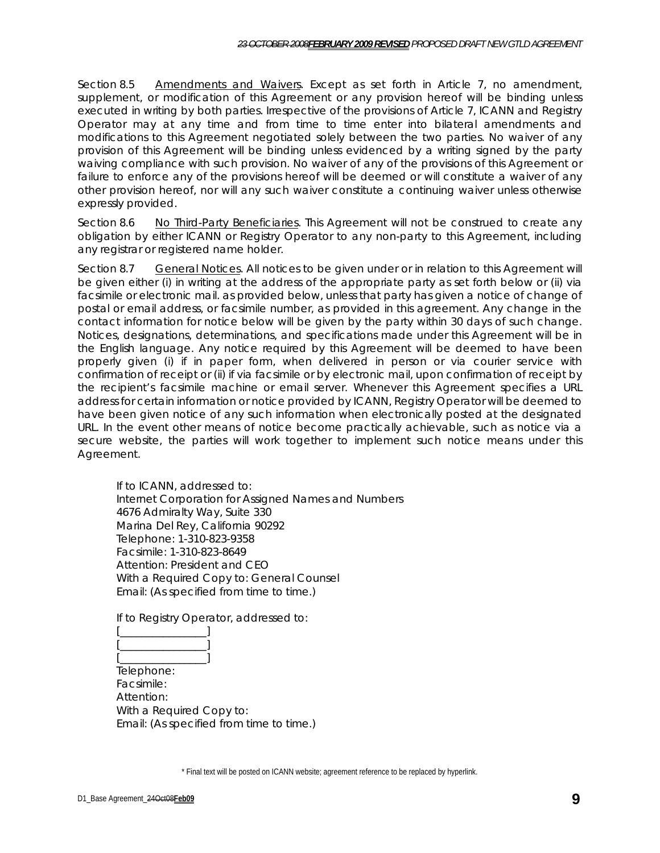Section 8.5 Amendments and Waivers. Except as set forth in Article 7, no amendment, supplement, or modification of this Agreement or any provision hereof will be binding unless executed in writing by both parties. Irrespective of the provisions of Article 7, ICANN and Registry Operator may at any time and from time to time enter into bilateral amendments and modifications to this Agreement negotiated solely between the two parties. No waiver of any provision of this Agreement will be binding unless evidenced by a writing signed by the party waiving compliance with such provision. No waiver of any of the provisions of this Agreement or failure to enforce any of the provisions hereof will be deemed or will constitute a waiver of any other provision hereof, nor will any such waiver constitute a continuing waiver unless otherwise expressly provided.

Section 8.6 No Third-Party Beneficiaries. This Agreement will not be construed to create any obligation by either ICANN or Registry Operator to any non-party to this Agreement, including any registrar or registered name holder.

Section 8.7 General Notices. All notices to be given under or in relation to this Agreement will be given either (i) in writing at the address of the appropriate party as set forth below or (ii) via facsimile or electronic mail. as provided below, unless that party has given a notice of change of postal or email address, or facsimile number, as provided in this agreement. Any change in the contact information for notice below will be given by the party within 30 days of such change. Notices, designations, determinations, and specifications made under this Agreement will be in the English language. Any notice required by this Agreement will be deemed to have been properly given (i) if in paper form, when delivered in person or via courier service with confirmation of receipt or (ii) if via facsimile or by electronic mail, upon confirmation of receipt by the recipient's facsimile machine or email server. Whenever this Agreement specifies a URL address for certain information or notice provided by ICANN, Registry Operator will be deemed to have been given notice of any such information when electronically posted at the designated URL. In the event other means of notice become practically achievable, such as notice via a secure website, the parties will work together to implement such notice means under this Agreement.

If to ICANN, addressed to: Internet Corporation for Assigned Names and Numbers 4676 Admiralty Way, Suite 330 Marina Del Rey, California 90292 Telephone: 1-310-823-9358 Facsimile: 1-310-823-8649 Attention: President and CEO With a Required Copy to: General Counsel Email: (As specified from time to time.)

If to Registry Operator, addressed to:



Telephone: Facsimile: Attention: With a Required Copy to: Email: (As specified from time to time.)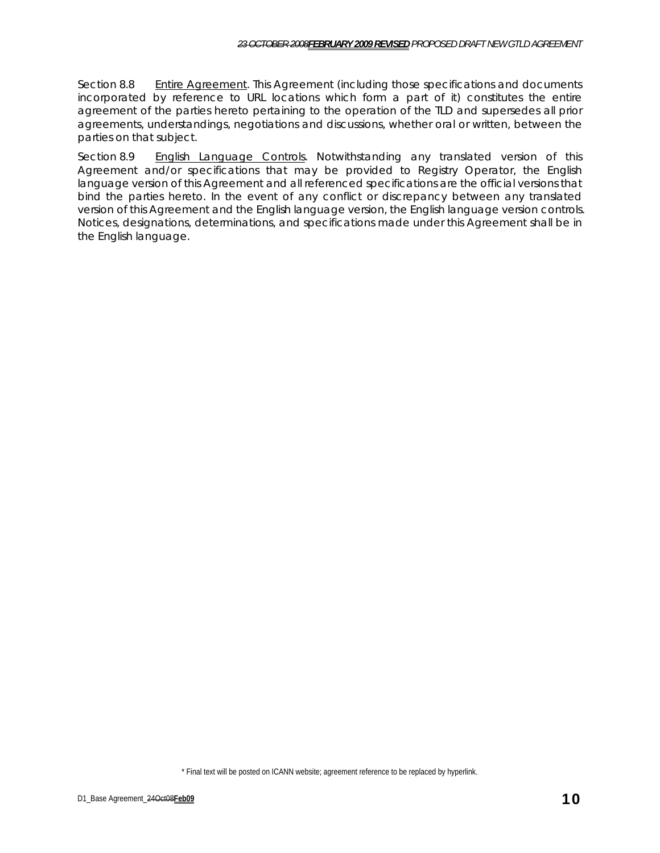Section 8.8 Entire Agreement. This Agreement (including those specifications and documents incorporated by reference to URL locations which form a part of it) constitutes the entire agreement of the parties hereto pertaining to the operation of the TLD and supersedes all prior agreements, understandings, negotiations and discussions, whether oral or written, between the parties on that subject.

Section 8.9 English Language Controls. Notwithstanding any translated version of this Agreement and/or specifications that may be provided to Registry Operator, the English language version of this Agreement and all referenced specifications are the official versions that bind the parties hereto. In the event of any conflict or discrepancy between any translated version of this Agreement and the English language version, the English language version controls. Notices, designations, determinations, and specifications made under this Agreement shall be in the English language.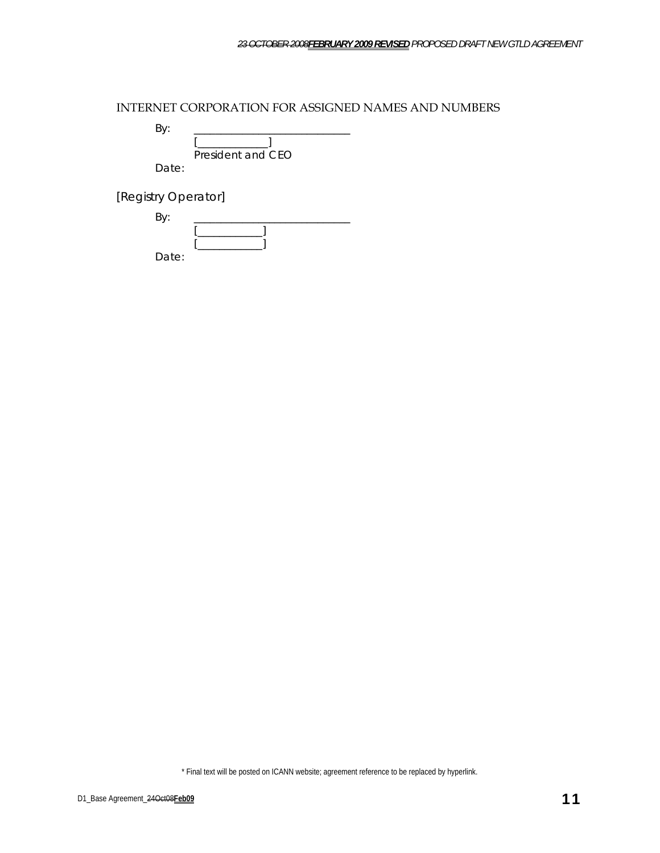INTERNET CORPORATION FOR ASSIGNED NAMES AND NUMBERS

By: \_\_\_\_\_\_\_\_\_\_\_\_\_\_\_\_\_\_\_\_\_\_\_\_\_\_\_\_\_  $\lceil$ 

 President and CEO Date:

[Registry Operator]

| …     |  |
|-------|--|
|       |  |
|       |  |
| Date: |  |